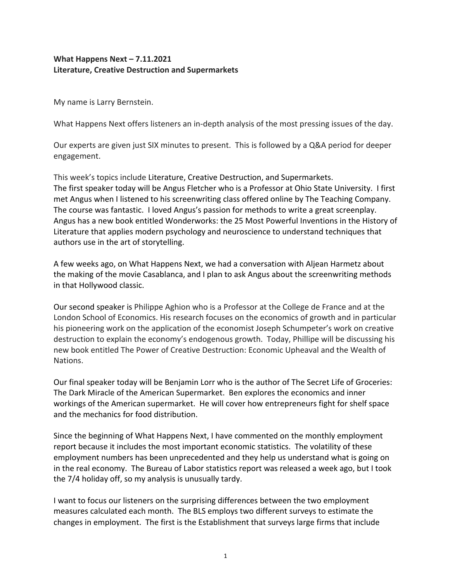# **What Happens Next – 7.11.2021 Literature, Creative Destruction and Supermarkets**

My name is Larry Bernstein.

What Happens Next offers listeners an in-depth analysis of the most pressing issues of the day.

Our experts are given just SIX minutes to present. This is followed by a Q&A period for deeper engagement.

This week's topics include Literature, Creative Destruction, and Supermarkets. The first speaker today will be Angus Fletcher who is a Professor at Ohio State University. I first met Angus when I listened to his screenwriting class offered online by The Teaching Company. The course was fantastic. I loved Angus's passion for methods to write a great screenplay. Angus has a new book entitled Wonderworks: the 25 Most Powerful Inventions in the History of Literature that applies modern psychology and neuroscience to understand techniques that authors use in the art of storytelling.

A few weeks ago, on What Happens Next, we had a conversation with Aljean Harmetz about the making of the movie Casablanca, and I plan to ask Angus about the screenwriting methods in that Hollywood classic.

Our second speaker is Philippe Aghion who is a Professor at the College de France and at the London School of Economics. His research focuses on the economics of growth and in particular his pioneering work on the application of the economist Joseph Schumpeter's work on creative destruction to explain the economy's endogenous growth. Today, Phillipe will be discussing his new book entitled The Power of Creative Destruction: Economic Upheaval and the Wealth of Nations.

Our final speaker today will be Benjamin Lorr who is the author of The Secret Life of Groceries: The Dark Miracle of the American Supermarket. Ben explores the economics and inner workings of the American supermarket. He will cover how entrepreneurs fight for shelf space and the mechanics for food distribution.

Since the beginning of What Happens Next, I have commented on the monthly employment report because it includes the most important economic statistics. The volatility of these employment numbers has been unprecedented and they help us understand what is going on in the real economy. The Bureau of Labor statistics report was released a week ago, but I took the 7/4 holiday off, so my analysis is unusually tardy.

I want to focus our listeners on the surprising differences between the two employment measures calculated each month. The BLS employs two different surveys to estimate the changes in employment. The first is the Establishment that surveys large firms that include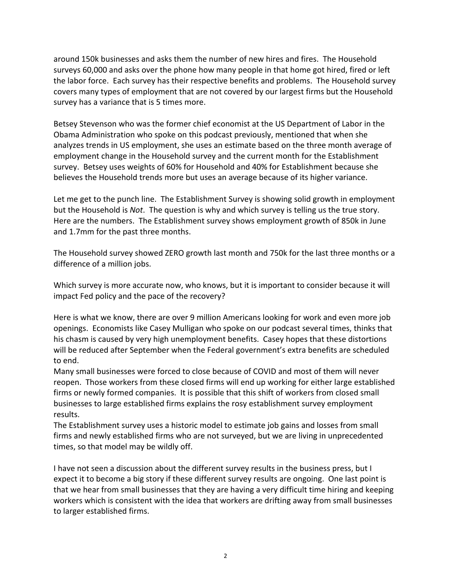around 150k businesses and asks them the number of new hires and fires. The Household surveys 60,000 and asks over the phone how many people in that home got hired, fired or left the labor force. Each survey has their respective benefits and problems. The Household survey covers many types of employment that are not covered by our largest firms but the Household survey has a variance that is 5 times more.

Betsey Stevenson who was the former chief economist at the US Department of Labor in the Obama Administration who spoke on this podcast previously, mentioned that when she analyzes trends in US employment, she uses an estimate based on the three month average of employment change in the Household survey and the current month for the Establishment survey. Betsey uses weights of 60% for Household and 40% for Establishment because she believes the Household trends more but uses an average because of its higher variance.

Let me get to the punch line. The Establishment Survey is showing solid growth in employment but the Household is *Not*. The question is why and which survey is telling us the true story. Here are the numbers. The Establishment survey shows employment growth of 850k in June and 1.7mm for the past three months.

The Household survey showed ZERO growth last month and 750k for the last three months or a difference of a million jobs.

Which survey is more accurate now, who knows, but it is important to consider because it will impact Fed policy and the pace of the recovery?

Here is what we know, there are over 9 million Americans looking for work and even more job openings. Economists like Casey Mulligan who spoke on our podcast several times, thinks that his chasm is caused by very high unemployment benefits. Casey hopes that these distortions will be reduced after September when the Federal government's extra benefits are scheduled to end.

Many small businesses were forced to close because of COVID and most of them will never reopen. Those workers from these closed firms will end up working for either large established firms or newly formed companies. It is possible that this shift of workers from closed small businesses to large established firms explains the rosy establishment survey employment results.

The Establishment survey uses a historic model to estimate job gains and losses from small firms and newly established firms who are not surveyed, but we are living in unprecedented times, so that model may be wildly off.

I have not seen a discussion about the different survey results in the business press, but I expect it to become a big story if these different survey results are ongoing. One last point is that we hear from small businesses that they are having a very difficult time hiring and keeping workers which is consistent with the idea that workers are drifting away from small businesses to larger established firms.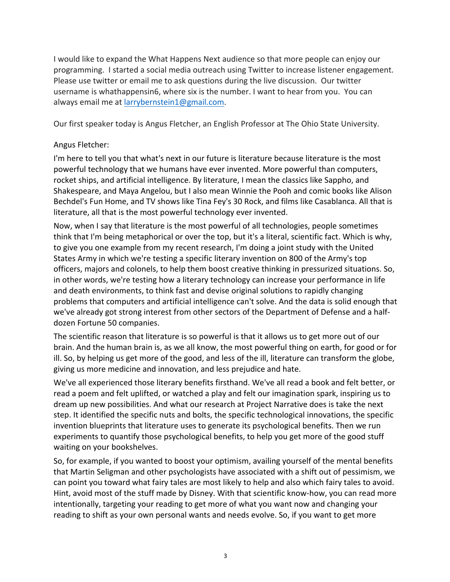I would like to expand the What Happens Next audience so that more people can enjoy our programming. I started a social media outreach using Twitter to increase listener engagement. Please use twitter or email me to ask questions during the live discussion. Our twitter username is whathappensin6, where six is the number. I want to hear from you. You can always email me at larrybernstein1@gmail.com.

Our first speaker today is Angus Fletcher, an English Professor at The Ohio State University.

# Angus Fletcher:

I'm here to tell you that what's next in our future is literature because literature is the most powerful technology that we humans have ever invented. More powerful than computers, rocket ships, and artificial intelligence. By literature, I mean the classics like Sappho, and Shakespeare, and Maya Angelou, but I also mean Winnie the Pooh and comic books like Alison Bechdel's Fun Home, and TV shows like Tina Fey's 30 Rock, and films like Casablanca. All that is literature, all that is the most powerful technology ever invented.

Now, when I say that literature is the most powerful of all technologies, people sometimes think that I'm being metaphorical or over the top, but it's a literal, scientific fact. Which is why, to give you one example from my recent research, I'm doing a joint study with the United States Army in which we're testing a specific literary invention on 800 of the Army's top officers, majors and colonels, to help them boost creative thinking in pressurized situations. So, in other words, we're testing how a literary technology can increase your performance in life and death environments, to think fast and devise original solutions to rapidly changing problems that computers and artificial intelligence can't solve. And the data is solid enough that we've already got strong interest from other sectors of the Department of Defense and a halfdozen Fortune 50 companies.

The scientific reason that literature is so powerful is that it allows us to get more out of our brain. And the human brain is, as we all know, the most powerful thing on earth, for good or for ill. So, by helping us get more of the good, and less of the ill, literature can transform the globe, giving us more medicine and innovation, and less prejudice and hate.

We've all experienced those literary benefits firsthand. We've all read a book and felt better, or read a poem and felt uplifted, or watched a play and felt our imagination spark, inspiring us to dream up new possibilities. And what our research at Project Narrative does is take the next step. It identified the specific nuts and bolts, the specific technological innovations, the specific invention blueprints that literature uses to generate its psychological benefits. Then we run experiments to quantify those psychological benefits, to help you get more of the good stuff waiting on your bookshelves.

So, for example, if you wanted to boost your optimism, availing yourself of the mental benefits that Martin Seligman and other psychologists have associated with a shift out of pessimism, we can point you toward what fairy tales are most likely to help and also which fairy tales to avoid. Hint, avoid most of the stuff made by Disney. With that scientific know-how, you can read more intentionally, targeting your reading to get more of what you want now and changing your reading to shift as your own personal wants and needs evolve. So, if you want to get more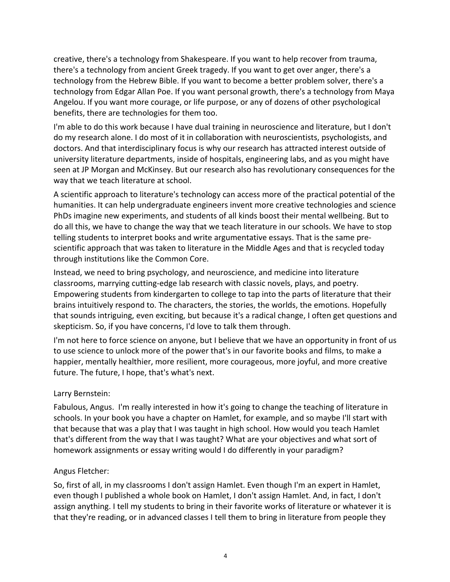creative, there's a technology from Shakespeare. If you want to help recover from trauma, there's a technology from ancient Greek tragedy. If you want to get over anger, there's a technology from the Hebrew Bible. If you want to become a better problem solver, there's a technology from Edgar Allan Poe. If you want personal growth, there's a technology from Maya Angelou. If you want more courage, or life purpose, or any of dozens of other psychological benefits, there are technologies for them too.

I'm able to do this work because I have dual training in neuroscience and literature, but I don't do my research alone. I do most of it in collaboration with neuroscientists, psychologists, and doctors. And that interdisciplinary focus is why our research has attracted interest outside of university literature departments, inside of hospitals, engineering labs, and as you might have seen at JP Morgan and McKinsey. But our research also has revolutionary consequences for the way that we teach literature at school.

A scientific approach to literature's technology can access more of the practical potential of the humanities. It can help undergraduate engineers invent more creative technologies and science PhDs imagine new experiments, and students of all kinds boost their mental wellbeing. But to do all this, we have to change the way that we teach literature in our schools. We have to stop telling students to interpret books and write argumentative essays. That is the same prescientific approach that was taken to literature in the Middle Ages and that is recycled today through institutions like the Common Core.

Instead, we need to bring psychology, and neuroscience, and medicine into literature classrooms, marrying cutting-edge lab research with classic novels, plays, and poetry. Empowering students from kindergarten to college to tap into the parts of literature that their brains intuitively respond to. The characters, the stories, the worlds, the emotions. Hopefully that sounds intriguing, even exciting, but because it's a radical change, I often get questions and skepticism. So, if you have concerns, I'd love to talk them through.

I'm not here to force science on anyone, but I believe that we have an opportunity in front of us to use science to unlock more of the power that's in our favorite books and films, to make a happier, mentally healthier, more resilient, more courageous, more joyful, and more creative future. The future, I hope, that's what's next.

#### Larry Bernstein:

Fabulous, Angus. I'm really interested in how it's going to change the teaching of literature in schools. In your book you have a chapter on Hamlet, for example, and so maybe I'll start with that because that was a play that I was taught in high school. How would you teach Hamlet that's different from the way that I was taught? What are your objectives and what sort of homework assignments or essay writing would I do differently in your paradigm?

# Angus Fletcher:

So, first of all, in my classrooms I don't assign Hamlet. Even though I'm an expert in Hamlet, even though I published a whole book on Hamlet, I don't assign Hamlet. And, in fact, I don't assign anything. I tell my students to bring in their favorite works of literature or whatever it is that they're reading, or in advanced classes I tell them to bring in literature from people they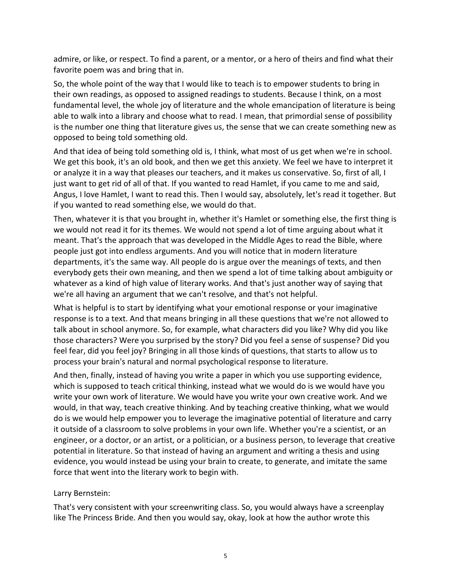admire, or like, or respect. To find a parent, or a mentor, or a hero of theirs and find what their favorite poem was and bring that in.

So, the whole point of the way that I would like to teach is to empower students to bring in their own readings, as opposed to assigned readings to students. Because I think, on a most fundamental level, the whole joy of literature and the whole emancipation of literature is being able to walk into a library and choose what to read. I mean, that primordial sense of possibility is the number one thing that literature gives us, the sense that we can create something new as opposed to being told something old.

And that idea of being told something old is, I think, what most of us get when we're in school. We get this book, it's an old book, and then we get this anxiety. We feel we have to interpret it or analyze it in a way that pleases our teachers, and it makes us conservative. So, first of all, I just want to get rid of all of that. If you wanted to read Hamlet, if you came to me and said, Angus, I love Hamlet, I want to read this. Then I would say, absolutely, let's read it together. But if you wanted to read something else, we would do that.

Then, whatever it is that you brought in, whether it's Hamlet or something else, the first thing is we would not read it for its themes. We would not spend a lot of time arguing about what it meant. That's the approach that was developed in the Middle Ages to read the Bible, where people just got into endless arguments. And you will notice that in modern literature departments, it's the same way. All people do is argue over the meanings of texts, and then everybody gets their own meaning, and then we spend a lot of time talking about ambiguity or whatever as a kind of high value of literary works. And that's just another way of saying that we're all having an argument that we can't resolve, and that's not helpful.

What is helpful is to start by identifying what your emotional response or your imaginative response is to a text. And that means bringing in all these questions that we're not allowed to talk about in school anymore. So, for example, what characters did you like? Why did you like those characters? Were you surprised by the story? Did you feel a sense of suspense? Did you feel fear, did you feel joy? Bringing in all those kinds of questions, that starts to allow us to process your brain's natural and normal psychological response to literature.

And then, finally, instead of having you write a paper in which you use supporting evidence, which is supposed to teach critical thinking, instead what we would do is we would have you write your own work of literature. We would have you write your own creative work. And we would, in that way, teach creative thinking. And by teaching creative thinking, what we would do is we would help empower you to leverage the imaginative potential of literature and carry it outside of a classroom to solve problems in your own life. Whether you're a scientist, or an engineer, or a doctor, or an artist, or a politician, or a business person, to leverage that creative potential in literature. So that instead of having an argument and writing a thesis and using evidence, you would instead be using your brain to create, to generate, and imitate the same force that went into the literary work to begin with.

#### Larry Bernstein:

That's very consistent with your screenwriting class. So, you would always have a screenplay like The Princess Bride. And then you would say, okay, look at how the author wrote this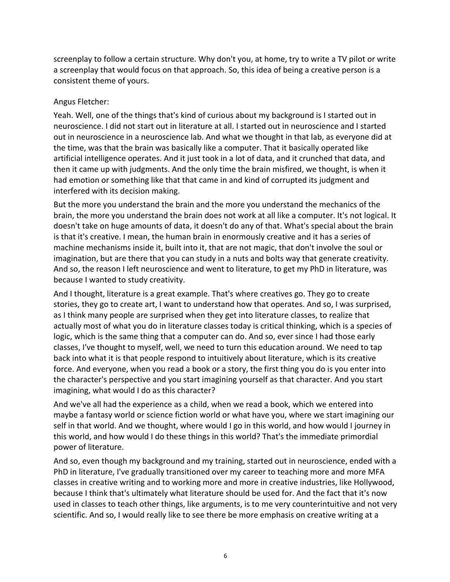screenplay to follow a certain structure. Why don't you, at home, try to write a TV pilot or write a screenplay that would focus on that approach. So, this idea of being a creative person is a consistent theme of yours.

#### Angus Fletcher:

Yeah. Well, one of the things that's kind of curious about my background is I started out in neuroscience. I did not start out in literature at all. I started out in neuroscience and I started out in neuroscience in a neuroscience lab. And what we thought in that lab, as everyone did at the time, was that the brain was basically like a computer. That it basically operated like artificial intelligence operates. And it just took in a lot of data, and it crunched that data, and then it came up with judgments. And the only time the brain misfired, we thought, is when it had emotion or something like that that came in and kind of corrupted its judgment and interfered with its decision making.

But the more you understand the brain and the more you understand the mechanics of the brain, the more you understand the brain does not work at all like a computer. It's not logical. It doesn't take on huge amounts of data, it doesn't do any of that. What's special about the brain is that it's creative. I mean, the human brain in enormously creative and it has a series of machine mechanisms inside it, built into it, that are not magic, that don't involve the soul or imagination, but are there that you can study in a nuts and bolts way that generate creativity. And so, the reason I left neuroscience and went to literature, to get my PhD in literature, was because I wanted to study creativity.

And I thought, literature is a great example. That's where creatives go. They go to create stories, they go to create art, I want to understand how that operates. And so, I was surprised, as I think many people are surprised when they get into literature classes, to realize that actually most of what you do in literature classes today is critical thinking, which is a species of logic, which is the same thing that a computer can do. And so, ever since I had those early classes, I've thought to myself, well, we need to turn this education around. We need to tap back into what it is that people respond to intuitively about literature, which is its creative force. And everyone, when you read a book or a story, the first thing you do is you enter into the character's perspective and you start imagining yourself as that character. And you start imagining, what would I do as this character?

And we've all had the experience as a child, when we read a book, which we entered into maybe a fantasy world or science fiction world or what have you, where we start imagining our self in that world. And we thought, where would I go in this world, and how would I journey in this world, and how would I do these things in this world? That's the immediate primordial power of literature.

And so, even though my background and my training, started out in neuroscience, ended with a PhD in literature, I've gradually transitioned over my career to teaching more and more MFA classes in creative writing and to working more and more in creative industries, like Hollywood, because I think that's ultimately what literature should be used for. And the fact that it's now used in classes to teach other things, like arguments, is to me very counterintuitive and not very scientific. And so, I would really like to see there be more emphasis on creative writing at a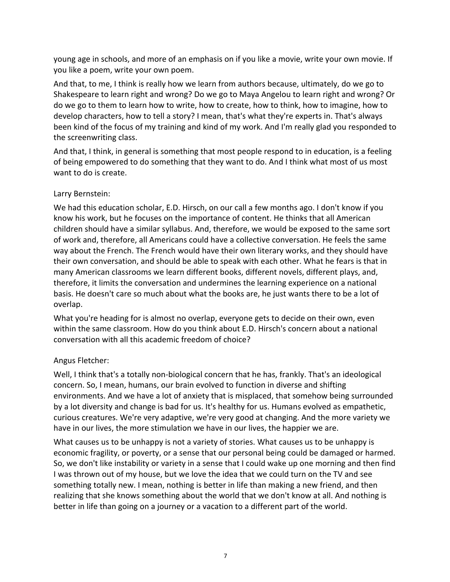young age in schools, and more of an emphasis on if you like a movie, write your own movie. If you like a poem, write your own poem.

And that, to me, I think is really how we learn from authors because, ultimately, do we go to Shakespeare to learn right and wrong? Do we go to Maya Angelou to learn right and wrong? Or do we go to them to learn how to write, how to create, how to think, how to imagine, how to develop characters, how to tell a story? I mean, that's what they're experts in. That's always been kind of the focus of my training and kind of my work. And I'm really glad you responded to the screenwriting class.

And that, I think, in general is something that most people respond to in education, is a feeling of being empowered to do something that they want to do. And I think what most of us most want to do is create.

# Larry Bernstein:

We had this education scholar, E.D. Hirsch, on our call a few months ago. I don't know if you know his work, but he focuses on the importance of content. He thinks that all American children should have a similar syllabus. And, therefore, we would be exposed to the same sort of work and, therefore, all Americans could have a collective conversation. He feels the same way about the French. The French would have their own literary works, and they should have their own conversation, and should be able to speak with each other. What he fears is that in many American classrooms we learn different books, different novels, different plays, and, therefore, it limits the conversation and undermines the learning experience on a national basis. He doesn't care so much about what the books are, he just wants there to be a lot of overlap.

What you're heading for is almost no overlap, everyone gets to decide on their own, even within the same classroom. How do you think about E.D. Hirsch's concern about a national conversation with all this academic freedom of choice?

# Angus Fletcher:

Well, I think that's a totally non-biological concern that he has, frankly. That's an ideological concern. So, I mean, humans, our brain evolved to function in diverse and shifting environments. And we have a lot of anxiety that is misplaced, that somehow being surrounded by a lot diversity and change is bad for us. It's healthy for us. Humans evolved as empathetic, curious creatures. We're very adaptive, we're very good at changing. And the more variety we have in our lives, the more stimulation we have in our lives, the happier we are.

What causes us to be unhappy is not a variety of stories. What causes us to be unhappy is economic fragility, or poverty, or a sense that our personal being could be damaged or harmed. So, we don't like instability or variety in a sense that I could wake up one morning and then find I was thrown out of my house, but we love the idea that we could turn on the TV and see something totally new. I mean, nothing is better in life than making a new friend, and then realizing that she knows something about the world that we don't know at all. And nothing is better in life than going on a journey or a vacation to a different part of the world.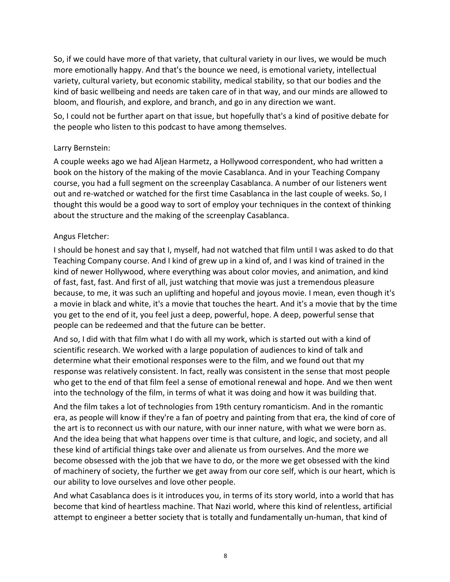So, if we could have more of that variety, that cultural variety in our lives, we would be much more emotionally happy. And that's the bounce we need, is emotional variety, intellectual variety, cultural variety, but economic stability, medical stability, so that our bodies and the kind of basic wellbeing and needs are taken care of in that way, and our minds are allowed to bloom, and flourish, and explore, and branch, and go in any direction we want.

So, I could not be further apart on that issue, but hopefully that's a kind of positive debate for the people who listen to this podcast to have among themselves.

### Larry Bernstein:

A couple weeks ago we had Aljean Harmetz, a Hollywood correspondent, who had written a book on the history of the making of the movie Casablanca. And in your Teaching Company course, you had a full segment on the screenplay Casablanca. A number of our listeners went out and re-watched or watched for the first time Casablanca in the last couple of weeks. So, I thought this would be a good way to sort of employ your techniques in the context of thinking about the structure and the making of the screenplay Casablanca.

### Angus Fletcher:

I should be honest and say that I, myself, had not watched that film until I was asked to do that Teaching Company course. And I kind of grew up in a kind of, and I was kind of trained in the kind of newer Hollywood, where everything was about color movies, and animation, and kind of fast, fast, fast. And first of all, just watching that movie was just a tremendous pleasure because, to me, it was such an uplifting and hopeful and joyous movie. I mean, even though it's a movie in black and white, it's a movie that touches the heart. And it's a movie that by the time you get to the end of it, you feel just a deep, powerful, hope. A deep, powerful sense that people can be redeemed and that the future can be better.

And so, I did with that film what I do with all my work, which is started out with a kind of scientific research. We worked with a large population of audiences to kind of talk and determine what their emotional responses were to the film, and we found out that my response was relatively consistent. In fact, really was consistent in the sense that most people who get to the end of that film feel a sense of emotional renewal and hope. And we then went into the technology of the film, in terms of what it was doing and how it was building that.

And the film takes a lot of technologies from 19th century romanticism. And in the romantic era, as people will know if they're a fan of poetry and painting from that era, the kind of core of the art is to reconnect us with our nature, with our inner nature, with what we were born as. And the idea being that what happens over time is that culture, and logic, and society, and all these kind of artificial things take over and alienate us from ourselves. And the more we become obsessed with the job that we have to do, or the more we get obsessed with the kind of machinery of society, the further we get away from our core self, which is our heart, which is our ability to love ourselves and love other people.

And what Casablanca does is it introduces you, in terms of its story world, into a world that has become that kind of heartless machine. That Nazi world, where this kind of relentless, artificial attempt to engineer a better society that is totally and fundamentally un-human, that kind of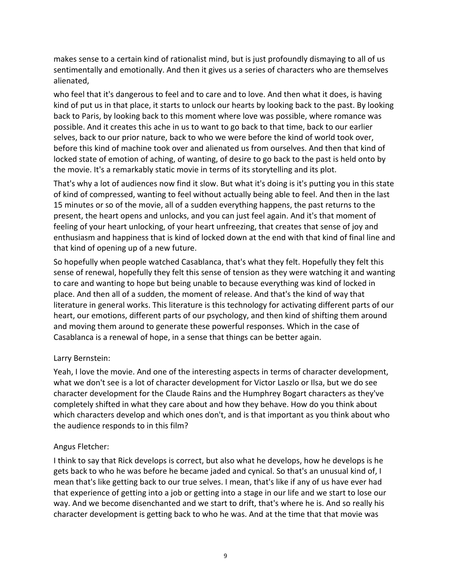makes sense to a certain kind of rationalist mind, but is just profoundly dismaying to all of us sentimentally and emotionally. And then it gives us a series of characters who are themselves alienated,

who feel that it's dangerous to feel and to care and to love. And then what it does, is having kind of put us in that place, it starts to unlock our hearts by looking back to the past. By looking back to Paris, by looking back to this moment where love was possible, where romance was possible. And it creates this ache in us to want to go back to that time, back to our earlier selves, back to our prior nature, back to who we were before the kind of world took over, before this kind of machine took over and alienated us from ourselves. And then that kind of locked state of emotion of aching, of wanting, of desire to go back to the past is held onto by the movie. It's a remarkably static movie in terms of its storytelling and its plot.

That's why a lot of audiences now find it slow. But what it's doing is it's putting you in this state of kind of compressed, wanting to feel without actually being able to feel. And then in the last 15 minutes or so of the movie, all of a sudden everything happens, the past returns to the present, the heart opens and unlocks, and you can just feel again. And it's that moment of feeling of your heart unlocking, of your heart unfreezing, that creates that sense of joy and enthusiasm and happiness that is kind of locked down at the end with that kind of final line and that kind of opening up of a new future.

So hopefully when people watched Casablanca, that's what they felt. Hopefully they felt this sense of renewal, hopefully they felt this sense of tension as they were watching it and wanting to care and wanting to hope but being unable to because everything was kind of locked in place. And then all of a sudden, the moment of release. And that's the kind of way that literature in general works. This literature is this technology for activating different parts of our heart, our emotions, different parts of our psychology, and then kind of shifting them around and moving them around to generate these powerful responses. Which in the case of Casablanca is a renewal of hope, in a sense that things can be better again.

# Larry Bernstein:

Yeah, I love the movie. And one of the interesting aspects in terms of character development, what we don't see is a lot of character development for Victor Laszlo or Ilsa, but we do see character development for the Claude Rains and the Humphrey Bogart characters as they've completely shifted in what they care about and how they behave. How do you think about which characters develop and which ones don't, and is that important as you think about who the audience responds to in this film?

# Angus Fletcher:

I think to say that Rick develops is correct, but also what he develops, how he develops is he gets back to who he was before he became jaded and cynical. So that's an unusual kind of, I mean that's like getting back to our true selves. I mean, that's like if any of us have ever had that experience of getting into a job or getting into a stage in our life and we start to lose our way. And we become disenchanted and we start to drift, that's where he is. And so really his character development is getting back to who he was. And at the time that that movie was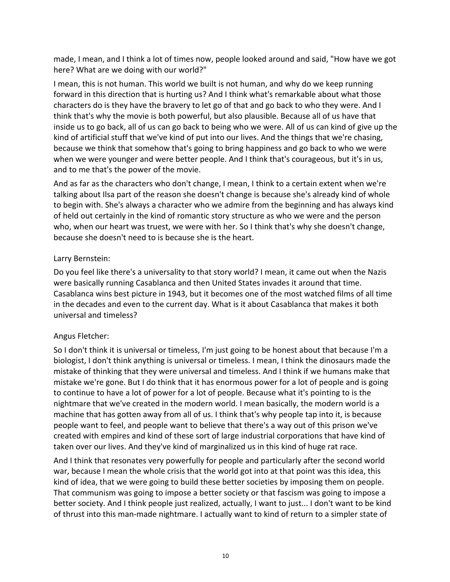made, I mean, and I think a lot of times now, people looked around and said, "How have we got here? What are we doing with our world?"

I mean, this is not human. This world we built is not human, and why do we keep running forward in this direction that is hurting us? And I think what's remarkable about what those characters do is they have the bravery to let go of that and go back to who they were. And I think that's why the movie is both powerful, but also plausible. Because all of us have that inside us to go back, all of us can go back to being who we were. All of us can kind of give up the kind of artificial stuff that we've kind of put into our lives. And the things that we're chasing, because we think that somehow that's going to bring happiness and go back to who we were when we were younger and were better people. And I think that's courageous, but it's in us, and to me that's the power of the movie.

And as far as the characters who don't change, I mean, I think to a certain extent when we're talking about Ilsa part of the reason she doesn't change is because she's already kind of whole to begin with. She's always a character who we admire from the beginning and has always kind of held out certainly in the kind of romantic story structure as who we were and the person who, when our heart was truest, we were with her. So I think that's why she doesn't change, because she doesn't need to is because she is the heart.

#### Larry Bernstein:

Do you feel like there's a universality to that story world? I mean, it came out when the Nazis were basically running Casablanca and then United States invades it around that time. Casablanca wins best picture in 1943, but it becomes one of the most watched films of all time in the decades and even to the current day. What is it about Casablanca that makes it both universal and timeless?

#### Angus Fletcher:

So I don't think it is universal or timeless, I'm just going to be honest about that because I'm a biologist, I don't think anything is universal or timeless. I mean, I think the dinosaurs made the mistake of thinking that they were universal and timeless. And I think if we humans make that mistake we're gone. But I do think that it has enormous power for a lot of people and is going to continue to have a lot of power for a lot of people. Because what it's pointing to is the nightmare that we've created in the modern world. I mean basically, the modern world is a machine that has gotten away from all of us. I think that's why people tap into it, is because people want to feel, and people want to believe that there's a way out of this prison we've created with empires and kind of these sort of large industrial corporations that have kind of taken over our lives. And they've kind of marginalized us in this kind of huge rat race.

And I think that resonates very powerfully for people and particularly after the second world war, because I mean the whole crisis that the world got into at that point was this idea, this kind of idea, that we were going to build these better societies by imposing them on people. That communism was going to impose a better society or that fascism was going to impose a better society. And I think people just realized, actually, I want to just... I don't want to be kind of thrust into this man-made nightmare. I actually want to kind of return to a simpler state of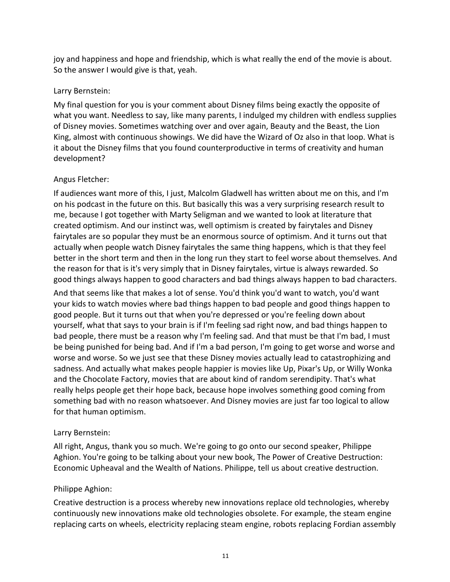joy and happiness and hope and friendship, which is what really the end of the movie is about. So the answer I would give is that, yeah.

### Larry Bernstein:

My final question for you is your comment about Disney films being exactly the opposite of what you want. Needless to say, like many parents, I indulged my children with endless supplies of Disney movies. Sometimes watching over and over again, Beauty and the Beast, the Lion King, almost with continuous showings. We did have the Wizard of Oz also in that loop. What is it about the Disney films that you found counterproductive in terms of creativity and human development?

### Angus Fletcher:

If audiences want more of this, I just, Malcolm Gladwell has written about me on this, and I'm on his podcast in the future on this. But basically this was a very surprising research result to me, because I got together with Marty Seligman and we wanted to look at literature that created optimism. And our instinct was, well optimism is created by fairytales and Disney fairytales are so popular they must be an enormous source of optimism. And it turns out that actually when people watch Disney fairytales the same thing happens, which is that they feel better in the short term and then in the long run they start to feel worse about themselves. And the reason for that is it's very simply that in Disney fairytales, virtue is always rewarded. So good things always happen to good characters and bad things always happen to bad characters.

And that seems like that makes a lot of sense. You'd think you'd want to watch, you'd want your kids to watch movies where bad things happen to bad people and good things happen to good people. But it turns out that when you're depressed or you're feeling down about yourself, what that says to your brain is if I'm feeling sad right now, and bad things happen to bad people, there must be a reason why I'm feeling sad. And that must be that I'm bad, I must be being punished for being bad. And if I'm a bad person, I'm going to get worse and worse and worse and worse. So we just see that these Disney movies actually lead to catastrophizing and sadness. And actually what makes people happier is movies like Up, Pixar's Up, or Willy Wonka and the Chocolate Factory, movies that are about kind of random serendipity. That's what really helps people get their hope back, because hope involves something good coming from something bad with no reason whatsoever. And Disney movies are just far too logical to allow for that human optimism.

# Larry Bernstein:

All right, Angus, thank you so much. We're going to go onto our second speaker, Philippe Aghion. You're going to be talking about your new book, The Power of Creative Destruction: Economic Upheaval and the Wealth of Nations. Philippe, tell us about creative destruction.

#### Philippe Aghion:

Creative destruction is a process whereby new innovations replace old technologies, whereby continuously new innovations make old technologies obsolete. For example, the steam engine replacing carts on wheels, electricity replacing steam engine, robots replacing Fordian assembly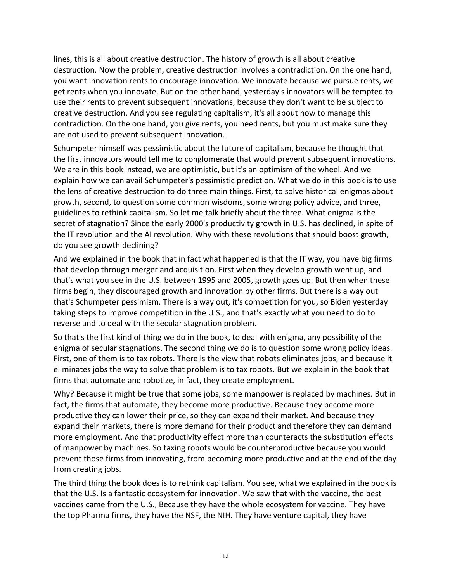lines, this is all about creative destruction. The history of growth is all about creative destruction. Now the problem, creative destruction involves a contradiction. On the one hand, you want innovation rents to encourage innovation. We innovate because we pursue rents, we get rents when you innovate. But on the other hand, yesterday's innovators will be tempted to use their rents to prevent subsequent innovations, because they don't want to be subject to creative destruction. And you see regulating capitalism, it's all about how to manage this contradiction. On the one hand, you give rents, you need rents, but you must make sure they are not used to prevent subsequent innovation.

Schumpeter himself was pessimistic about the future of capitalism, because he thought that the first innovators would tell me to conglomerate that would prevent subsequent innovations. We are in this book instead, we are optimistic, but it's an optimism of the wheel. And we explain how we can avail Schumpeter's pessimistic prediction. What we do in this book is to use the lens of creative destruction to do three main things. First, to solve historical enigmas about growth, second, to question some common wisdoms, some wrong policy advice, and three, guidelines to rethink capitalism. So let me talk briefly about the three. What enigma is the secret of stagnation? Since the early 2000's productivity growth in U.S. has declined, in spite of the IT revolution and the AI revolution. Why with these revolutions that should boost growth, do you see growth declining?

And we explained in the book that in fact what happened is that the IT way, you have big firms that develop through merger and acquisition. First when they develop growth went up, and that's what you see in the U.S. between 1995 and 2005, growth goes up. But then when these firms begin, they discouraged growth and innovation by other firms. But there is a way out that's Schumpeter pessimism. There is a way out, it's competition for you, so Biden yesterday taking steps to improve competition in the U.S., and that's exactly what you need to do to reverse and to deal with the secular stagnation problem.

So that's the first kind of thing we do in the book, to deal with enigma, any possibility of the enigma of secular stagnations. The second thing we do is to question some wrong policy ideas. First, one of them is to tax robots. There is the view that robots eliminates jobs, and because it eliminates jobs the way to solve that problem is to tax robots. But we explain in the book that firms that automate and robotize, in fact, they create employment.

Why? Because it might be true that some jobs, some manpower is replaced by machines. But in fact, the firms that automate, they become more productive. Because they become more productive they can lower their price, so they can expand their market. And because they expand their markets, there is more demand for their product and therefore they can demand more employment. And that productivity effect more than counteracts the substitution effects of manpower by machines. So taxing robots would be counterproductive because you would prevent those firms from innovating, from becoming more productive and at the end of the day from creating jobs.

The third thing the book does is to rethink capitalism. You see, what we explained in the book is that the U.S. Is a fantastic ecosystem for innovation. We saw that with the vaccine, the best vaccines came from the U.S., Because they have the whole ecosystem for vaccine. They have the top Pharma firms, they have the NSF, the NIH. They have venture capital, they have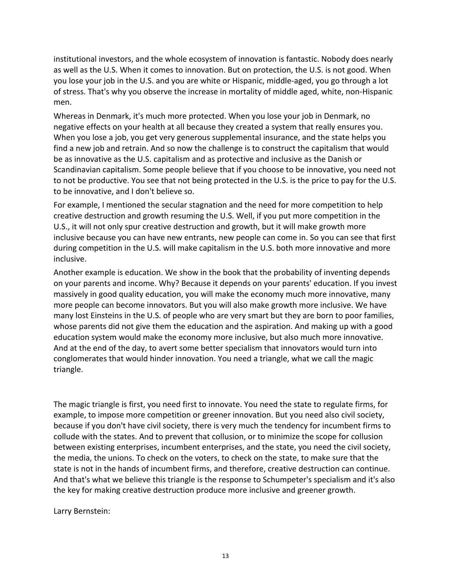institutional investors, and the whole ecosystem of innovation is fantastic. Nobody does nearly as well as the U.S. When it comes to innovation. But on protection, the U.S. is not good. When you lose your job in the U.S. and you are white or Hispanic, middle-aged, you go through a lot of stress. That's why you observe the increase in mortality of middle aged, white, non-Hispanic men.

Whereas in Denmark, it's much more protected. When you lose your job in Denmark, no negative effects on your health at all because they created a system that really ensures you. When you lose a job, you get very generous supplemental insurance, and the state helps you find a new job and retrain. And so now the challenge is to construct the capitalism that would be as innovative as the U.S. capitalism and as protective and inclusive as the Danish or Scandinavian capitalism. Some people believe that if you choose to be innovative, you need not to not be productive. You see that not being protected in the U.S. is the price to pay for the U.S. to be innovative, and I don't believe so.

For example, I mentioned the secular stagnation and the need for more competition to help creative destruction and growth resuming the U.S. Well, if you put more competition in the U.S., it will not only spur creative destruction and growth, but it will make growth more inclusive because you can have new entrants, new people can come in. So you can see that first during competition in the U.S. will make capitalism in the U.S. both more innovative and more inclusive.

Another example is education. We show in the book that the probability of inventing depends on your parents and income. Why? Because it depends on your parents' education. If you invest massively in good quality education, you will make the economy much more innovative, many more people can become innovators. But you will also make growth more inclusive. We have many lost Einsteins in the U.S. of people who are very smart but they are born to poor families, whose parents did not give them the education and the aspiration. And making up with a good education system would make the economy more inclusive, but also much more innovative. And at the end of the day, to avert some better specialism that innovators would turn into conglomerates that would hinder innovation. You need a triangle, what we call the magic triangle.

The magic triangle is first, you need first to innovate. You need the state to regulate firms, for example, to impose more competition or greener innovation. But you need also civil society, because if you don't have civil society, there is very much the tendency for incumbent firms to collude with the states. And to prevent that collusion, or to minimize the scope for collusion between existing enterprises, incumbent enterprises, and the state, you need the civil society, the media, the unions. To check on the voters, to check on the state, to make sure that the state is not in the hands of incumbent firms, and therefore, creative destruction can continue. And that's what we believe this triangle is the response to Schumpeter's specialism and it's also the key for making creative destruction produce more inclusive and greener growth.

Larry Bernstein: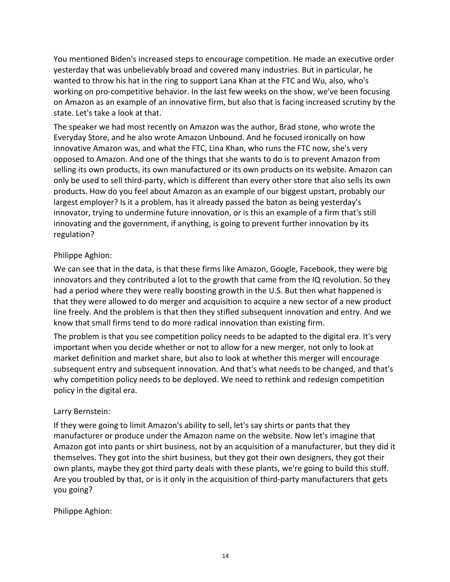You mentioned Biden's increased steps to encourage competition. He made an executive order yesterday that was unbelievably broad and covered many industries. But in particular, he wanted to throw his hat in the ring to support Lana Khan at the FTC and Wu, also, who's working on pro-competitive behavior. In the last few weeks on the show, we've been focusing on Amazon as an example of an innovative firm, but also that is facing increased scrutiny by the state. Let's take a look at that.

The speaker we had most recently on Amazon was the author, Brad stone, who wrote the Everyday Store, and he also wrote Amazon Unbound. And he focused ironically on how innovative Amazon was, and what the FTC, Lina Khan, who runs the FTC now, she's very opposed to Amazon. And one of the things that she wants to do is to prevent Amazon from selling its own products, its own manufactured or its own products on its website. Amazon can only be used to sell third-party, which is different than every other store that also sells its own products. How do you feel about Amazon as an example of our biggest upstart, probably our largest employer? Is it a problem, has it already passed the baton as being yesterday's innovator, trying to undermine future innovation, or is this an example of a firm that's still innovating and the government, if anything, is going to prevent further innovation by its regulation?

### Philippe Aghion:

We can see that in the data, is that these firms like Amazon, Google, Facebook, they were big innovators and they contributed a lot to the growth that came from the IQ revolution. So they had a period where they were really boosting growth in the U.S. But then what happened is that they were allowed to do merger and acquisition to acquire a new sector of a new product line freely. And the problem is that then they stifled subsequent innovation and entry. And we know that small firms tend to do more radical innovation than existing firm.

The problem is that you see competition policy needs to be adapted to the digital era. It's very important when you decide whether or not to allow for a new merger, not only to look at market definition and market share, but also to look at whether this merger will encourage subsequent entry and subsequent innovation. And that's what needs to be changed, and that's why competition policy needs to be deployed. We need to rethink and redesign competition policy in the digital era.

# Larry Bernstein:

If they were going to limit Amazon's ability to sell, let's say shirts or pants that they manufacturer or produce under the Amazon name on the website. Now let's imagine that Amazon got into pants or shirt business, not by an acquisition of a manufacturer, but they did it themselves. They got into the shirt business, but they got their own designers, they got their own plants, maybe they got third party deals with these plants, we're going to build this stuff. Are you troubled by that, or is it only in the acquisition of third-party manufacturers that gets you going?

Philippe Aghion: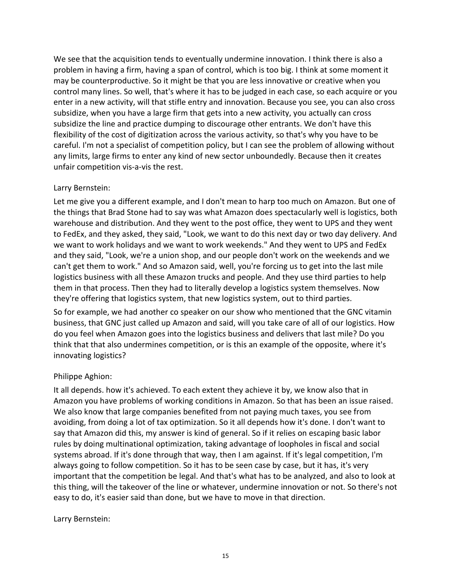We see that the acquisition tends to eventually undermine innovation. I think there is also a problem in having a firm, having a span of control, which is too big. I think at some moment it may be counterproductive. So it might be that you are less innovative or creative when you control many lines. So well, that's where it has to be judged in each case, so each acquire or you enter in a new activity, will that stifle entry and innovation. Because you see, you can also cross subsidize, when you have a large firm that gets into a new activity, you actually can cross subsidize the line and practice dumping to discourage other entrants. We don't have this flexibility of the cost of digitization across the various activity, so that's why you have to be careful. I'm not a specialist of competition policy, but I can see the problem of allowing without any limits, large firms to enter any kind of new sector unboundedly. Because then it creates unfair competition vis-a-vis the rest.

#### Larry Bernstein:

Let me give you a different example, and I don't mean to harp too much on Amazon. But one of the things that Brad Stone had to say was what Amazon does spectacularly well is logistics, both warehouse and distribution. And they went to the post office, they went to UPS and they went to FedEx, and they asked, they said, "Look, we want to do this next day or two day delivery. And we want to work holidays and we want to work weekends." And they went to UPS and FedEx and they said, "Look, we're a union shop, and our people don't work on the weekends and we can't get them to work." And so Amazon said, well, you're forcing us to get into the last mile logistics business with all these Amazon trucks and people. And they use third parties to help them in that process. Then they had to literally develop a logistics system themselves. Now they're offering that logistics system, that new logistics system, out to third parties.

So for example, we had another co speaker on our show who mentioned that the GNC vitamin business, that GNC just called up Amazon and said, will you take care of all of our logistics. How do you feel when Amazon goes into the logistics business and delivers that last mile? Do you think that that also undermines competition, or is this an example of the opposite, where it's innovating logistics?

# Philippe Aghion:

It all depends. how it's achieved. To each extent they achieve it by, we know also that in Amazon you have problems of working conditions in Amazon. So that has been an issue raised. We also know that large companies benefited from not paying much taxes, you see from avoiding, from doing a lot of tax optimization. So it all depends how it's done. I don't want to say that Amazon did this, my answer is kind of general. So if it relies on escaping basic labor rules by doing multinational optimization, taking advantage of loopholes in fiscal and social systems abroad. If it's done through that way, then I am against. If it's legal competition, I'm always going to follow competition. So it has to be seen case by case, but it has, it's very important that the competition be legal. And that's what has to be analyzed, and also to look at this thing, will the takeover of the line or whatever, undermine innovation or not. So there's not easy to do, it's easier said than done, but we have to move in that direction.

#### Larry Bernstein: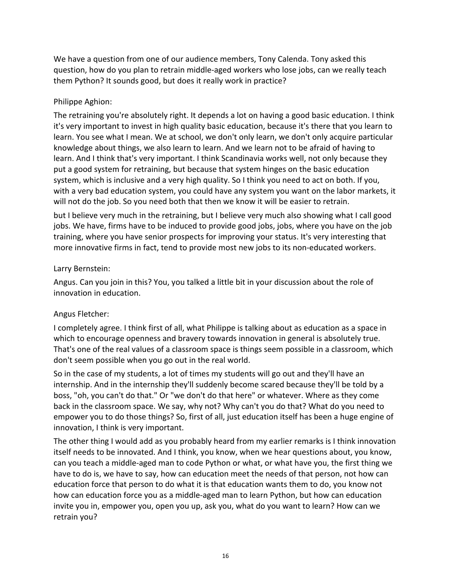We have a question from one of our audience members, Tony Calenda. Tony asked this question, how do you plan to retrain middle-aged workers who lose jobs, can we really teach them Python? It sounds good, but does it really work in practice?

### Philippe Aghion:

The retraining you're absolutely right. It depends a lot on having a good basic education. I think it's very important to invest in high quality basic education, because it's there that you learn to learn. You see what I mean. We at school, we don't only learn, we don't only acquire particular knowledge about things, we also learn to learn. And we learn not to be afraid of having to learn. And I think that's very important. I think Scandinavia works well, not only because they put a good system for retraining, but because that system hinges on the basic education system, which is inclusive and a very high quality. So I think you need to act on both. If you, with a very bad education system, you could have any system you want on the labor markets, it will not do the job. So you need both that then we know it will be easier to retrain.

but I believe very much in the retraining, but I believe very much also showing what I call good jobs. We have, firms have to be induced to provide good jobs, jobs, where you have on the job training, where you have senior prospects for improving your status. It's very interesting that more innovative firms in fact, tend to provide most new jobs to its non-educated workers.

### Larry Bernstein:

Angus. Can you join in this? You, you talked a little bit in your discussion about the role of innovation in education.

# Angus Fletcher:

I completely agree. I think first of all, what Philippe is talking about as education as a space in which to encourage openness and bravery towards innovation in general is absolutely true. That's one of the real values of a classroom space is things seem possible in a classroom, which don't seem possible when you go out in the real world.

So in the case of my students, a lot of times my students will go out and they'll have an internship. And in the internship they'll suddenly become scared because they'll be told by a boss, "oh, you can't do that." Or "we don't do that here" or whatever. Where as they come back in the classroom space. We say, why not? Why can't you do that? What do you need to empower you to do those things? So, first of all, just education itself has been a huge engine of innovation, I think is very important.

The other thing I would add as you probably heard from my earlier remarks is I think innovation itself needs to be innovated. And I think, you know, when we hear questions about, you know, can you teach a middle-aged man to code Python or what, or what have you, the first thing we have to do is, we have to say, how can education meet the needs of that person, not how can education force that person to do what it is that education wants them to do, you know not how can education force you as a middle-aged man to learn Python, but how can education invite you in, empower you, open you up, ask you, what do you want to learn? How can we retrain you?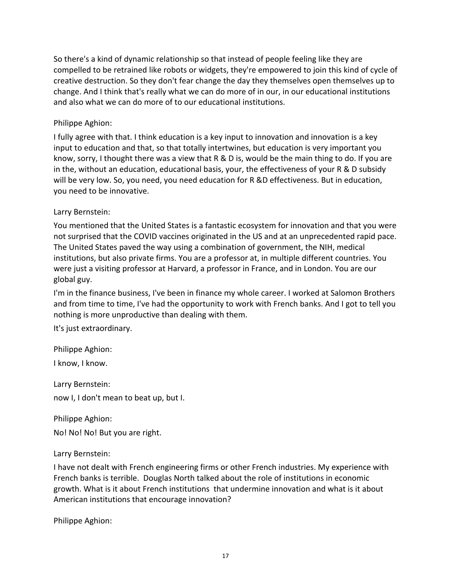So there's a kind of dynamic relationship so that instead of people feeling like they are compelled to be retrained like robots or widgets, they're empowered to join this kind of cycle of creative destruction. So they don't fear change the day they themselves open themselves up to change. And I think that's really what we can do more of in our, in our educational institutions and also what we can do more of to our educational institutions.

### Philippe Aghion:

I fully agree with that. I think education is a key input to innovation and innovation is a key input to education and that, so that totally intertwines, but education is very important you know, sorry, I thought there was a view that R & D is, would be the main thing to do. If you are in the, without an education, educational basis, your, the effectiveness of your R & D subsidy will be very low. So, you need, you need education for R &D effectiveness. But in education, you need to be innovative.

### Larry Bernstein:

You mentioned that the United States is a fantastic ecosystem for innovation and that you were not surprised that the COVID vaccines originated in the US and at an unprecedented rapid pace. The United States paved the way using a combination of government, the NIH, medical institutions, but also private firms. You are a professor at, in multiple different countries. You were just a visiting professor at Harvard, a professor in France, and in London. You are our global guy.

I'm in the finance business, I've been in finance my whole career. I worked at Salomon Brothers and from time to time, I've had the opportunity to work with French banks. And I got to tell you nothing is more unproductive than dealing with them.

It's just extraordinary.

Philippe Aghion:

I know, I know.

Larry Bernstein: now I, I don't mean to beat up, but I.

Philippe Aghion:

No! No! No! But you are right.

#### Larry Bernstein:

I have not dealt with French engineering firms or other French industries. My experience with French banks is terrible. Douglas North talked about the role of institutions in economic growth. What is it about French institutions that undermine innovation and what is it about American institutions that encourage innovation?

Philippe Aghion: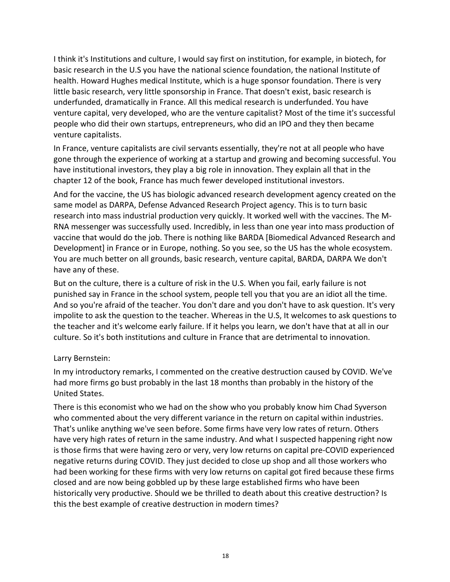I think it's Institutions and culture, I would say first on institution, for example, in biotech, for basic research in the U.S you have the national science foundation, the national Institute of health. Howard Hughes medical Institute, which is a huge sponsor foundation. There is very little basic research, very little sponsorship in France. That doesn't exist, basic research is underfunded, dramatically in France. All this medical research is underfunded. You have venture capital, very developed, who are the venture capitalist? Most of the time it's successful people who did their own startups, entrepreneurs, who did an IPO and they then became venture capitalists.

In France, venture capitalists are civil servants essentially, they're not at all people who have gone through the experience of working at a startup and growing and becoming successful. You have institutional investors, they play a big role in innovation. They explain all that in the chapter 12 of the book, France has much fewer developed institutional investors.

And for the vaccine, the US has biologic advanced research development agency created on the same model as DARPA, Defense Advanced Research Project agency. This is to turn basic research into mass industrial production very quickly. It worked well with the vaccines. The M-RNA messenger was successfully used. Incredibly, in less than one year into mass production of vaccine that would do the job. There is nothing like BARDA [Biomedical Advanced Research and Development] in France or in Europe, nothing. So you see, so the US has the whole ecosystem. You are much better on all grounds, basic research, venture capital, BARDA, DARPA We don't have any of these.

But on the culture, there is a culture of risk in the U.S. When you fail, early failure is not punished say in France in the school system, people tell you that you are an idiot all the time. And so you're afraid of the teacher. You don't dare and you don't have to ask question. It's very impolite to ask the question to the teacher. Whereas in the U.S, It welcomes to ask questions to the teacher and it's welcome early failure. If it helps you learn, we don't have that at all in our culture. So it's both institutions and culture in France that are detrimental to innovation.

# Larry Bernstein:

In my introductory remarks, I commented on the creative destruction caused by COVID. We've had more firms go bust probably in the last 18 months than probably in the history of the United States.

There is this economist who we had on the show who you probably know him Chad Syverson who commented about the very different variance in the return on capital within industries. That's unlike anything we've seen before. Some firms have very low rates of return. Others have very high rates of return in the same industry. And what I suspected happening right now is those firms that were having zero or very, very low returns on capital pre-COVID experienced negative returns during COVID. They just decided to close up shop and all those workers who had been working for these firms with very low returns on capital got fired because these firms closed and are now being gobbled up by these large established firms who have been historically very productive. Should we be thrilled to death about this creative destruction? Is this the best example of creative destruction in modern times?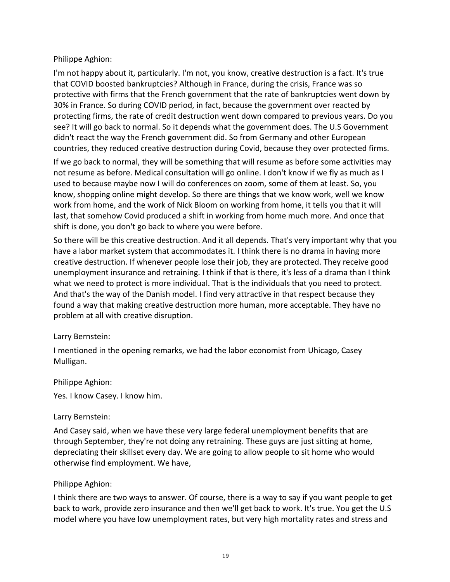### Philippe Aghion:

I'm not happy about it, particularly. I'm not, you know, creative destruction is a fact. It's true that COVID boosted bankruptcies? Although in France, during the crisis, France was so protective with firms that the French government that the rate of bankruptcies went down by 30% in France. So during COVID period, in fact, because the government over reacted by protecting firms, the rate of credit destruction went down compared to previous years. Do you see? It will go back to normal. So it depends what the government does. The U.S Government didn't react the way the French government did. So from Germany and other European countries, they reduced creative destruction during Covid, because they over protected firms.

If we go back to normal, they will be something that will resume as before some activities may not resume as before. Medical consultation will go online. I don't know if we fly as much as I used to because maybe now I will do conferences on zoom, some of them at least. So, you know, shopping online might develop. So there are things that we know work, well we know work from home, and the work of Nick Bloom on working from home, it tells you that it will last, that somehow Covid produced a shift in working from home much more. And once that shift is done, you don't go back to where you were before.

So there will be this creative destruction. And it all depends. That's very important why that you have a labor market system that accommodates it. I think there is no drama in having more creative destruction. If whenever people lose their job, they are protected. They receive good unemployment insurance and retraining. I think if that is there, it's less of a drama than I think what we need to protect is more individual. That is the individuals that you need to protect. And that's the way of the Danish model. I find very attractive in that respect because they found a way that making creative destruction more human, more acceptable. They have no problem at all with creative disruption.

#### Larry Bernstein:

I mentioned in the opening remarks, we had the labor economist from Uhicago, Casey Mulligan.

#### Philippe Aghion:

Yes. I know Casey. I know him.

#### Larry Bernstein:

And Casey said, when we have these very large federal unemployment benefits that are through September, they're not doing any retraining. These guys are just sitting at home, depreciating their skillset every day. We are going to allow people to sit home who would otherwise find employment. We have,

#### Philippe Aghion:

I think there are two ways to answer. Of course, there is a way to say if you want people to get back to work, provide zero insurance and then we'll get back to work. It's true. You get the U.S model where you have low unemployment rates, but very high mortality rates and stress and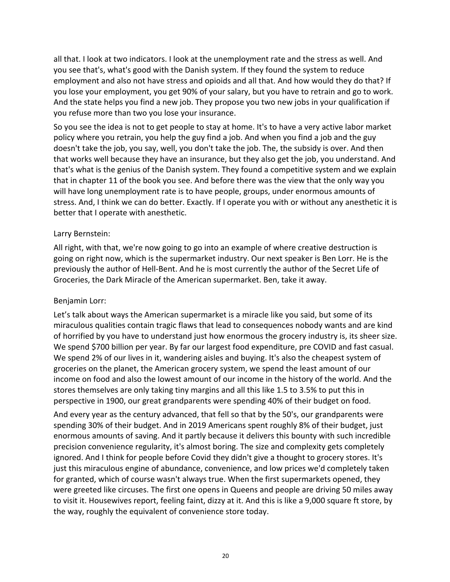all that. I look at two indicators. I look at the unemployment rate and the stress as well. And you see that's, what's good with the Danish system. If they found the system to reduce employment and also not have stress and opioids and all that. And how would they do that? If you lose your employment, you get 90% of your salary, but you have to retrain and go to work. And the state helps you find a new job. They propose you two new jobs in your qualification if you refuse more than two you lose your insurance.

So you see the idea is not to get people to stay at home. It's to have a very active labor market policy where you retrain, you help the guy find a job. And when you find a job and the guy doesn't take the job, you say, well, you don't take the job. The, the subsidy is over. And then that works well because they have an insurance, but they also get the job, you understand. And that's what is the genius of the Danish system. They found a competitive system and we explain that in chapter 11 of the book you see. And before there was the view that the only way you will have long unemployment rate is to have people, groups, under enormous amounts of stress. And, I think we can do better. Exactly. If I operate you with or without any anesthetic it is better that I operate with anesthetic.

#### Larry Bernstein:

All right, with that, we're now going to go into an example of where creative destruction is going on right now, which is the supermarket industry. Our next speaker is Ben Lorr. He is the previously the author of Hell-Bent. And he is most currently the author of the Secret Life of Groceries, the Dark Miracle of the American supermarket. Ben, take it away.

#### Benjamin Lorr:

Let's talk about ways the American supermarket is a miracle like you said, but some of its miraculous qualities contain tragic flaws that lead to consequences nobody wants and are kind of horrified by you have to understand just how enormous the grocery industry is, its sheer size. We spend \$700 billion per year. By far our largest food expenditure, pre COVID and fast casual. We spend 2% of our lives in it, wandering aisles and buying. It's also the cheapest system of groceries on the planet, the American grocery system, we spend the least amount of our income on food and also the lowest amount of our income in the history of the world. And the stores themselves are only taking tiny margins and all this like 1.5 to 3.5% to put this in perspective in 1900, our great grandparents were spending 40% of their budget on food.

And every year as the century advanced, that fell so that by the 50's, our grandparents were spending 30% of their budget. And in 2019 Americans spent roughly 8% of their budget, just enormous amounts of saving. And it partly because it delivers this bounty with such incredible precision convenience regularity, it's almost boring. The size and complexity gets completely ignored. And I think for people before Covid they didn't give a thought to grocery stores. It's just this miraculous engine of abundance, convenience, and low prices we'd completely taken for granted, which of course wasn't always true. When the first supermarkets opened, they were greeted like circuses. The first one opens in Queens and people are driving 50 miles away to visit it. Housewives report, feeling faint, dizzy at it. And this is like a 9,000 square ft store, by the way, roughly the equivalent of convenience store today.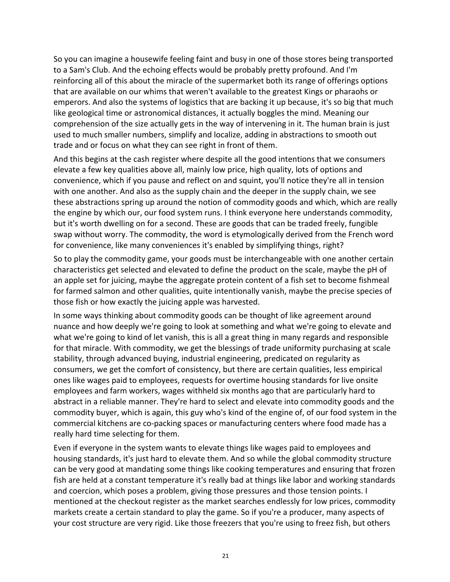So you can imagine a housewife feeling faint and busy in one of those stores being transported to a Sam's Club. And the echoing effects would be probably pretty profound. And I'm reinforcing all of this about the miracle of the supermarket both its range of offerings options that are available on our whims that weren't available to the greatest Kings or pharaohs or emperors. And also the systems of logistics that are backing it up because, it's so big that much like geological time or astronomical distances, it actually boggles the mind. Meaning our comprehension of the size actually gets in the way of intervening in it. The human brain is just used to much smaller numbers, simplify and localize, adding in abstractions to smooth out trade and or focus on what they can see right in front of them.

And this begins at the cash register where despite all the good intentions that we consumers elevate a few key qualities above all, mainly low price, high quality, lots of options and convenience, which if you pause and reflect on and squint, you'll notice they're all in tension with one another. And also as the supply chain and the deeper in the supply chain, we see these abstractions spring up around the notion of commodity goods and which, which are really the engine by which our, our food system runs. I think everyone here understands commodity, but it's worth dwelling on for a second. These are goods that can be traded freely, fungible swap without worry. The commodity, the word is etymologically derived from the French word for convenience, like many conveniences it's enabled by simplifying things, right?

So to play the commodity game, your goods must be interchangeable with one another certain characteristics get selected and elevated to define the product on the scale, maybe the pH of an apple set for juicing, maybe the aggregate protein content of a fish set to become fishmeal for farmed salmon and other qualities, quite intentionally vanish, maybe the precise species of those fish or how exactly the juicing apple was harvested.

In some ways thinking about commodity goods can be thought of like agreement around nuance and how deeply we're going to look at something and what we're going to elevate and what we're going to kind of let vanish, this is all a great thing in many regards and responsible for that miracle. With commodity, we get the blessings of trade uniformity purchasing at scale stability, through advanced buying, industrial engineering, predicated on regularity as consumers, we get the comfort of consistency, but there are certain qualities, less empirical ones like wages paid to employees, requests for overtime housing standards for live onsite employees and farm workers, wages withheld six months ago that are particularly hard to abstract in a reliable manner. They're hard to select and elevate into commodity goods and the commodity buyer, which is again, this guy who's kind of the engine of, of our food system in the commercial kitchens are co-packing spaces or manufacturing centers where food made has a really hard time selecting for them.

Even if everyone in the system wants to elevate things like wages paid to employees and housing standards, it's just hard to elevate them. And so while the global commodity structure can be very good at mandating some things like cooking temperatures and ensuring that frozen fish are held at a constant temperature it's really bad at things like labor and working standards and coercion, which poses a problem, giving those pressures and those tension points. I mentioned at the checkout register as the market searches endlessly for low prices, commodity markets create a certain standard to play the game. So if you're a producer, many aspects of your cost structure are very rigid. Like those freezers that you're using to freez fish, but others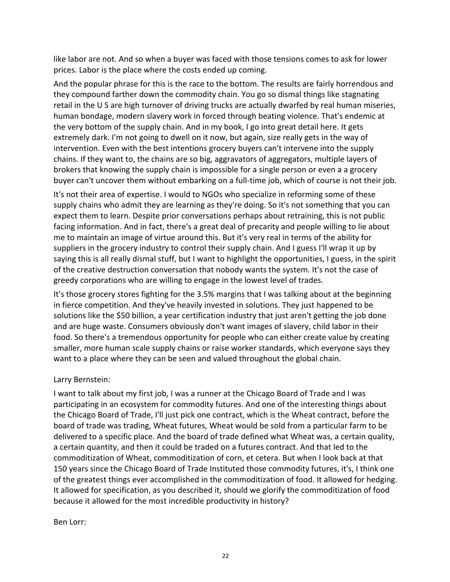like labor are not. And so when a buyer was faced with those tensions comes to ask for lower prices. Labor is the place where the costs ended up coming.

And the popular phrase for this is the race to the bottom. The results are fairly horrendous and they compound farther down the commodity chain. You go so dismal things like stagnating retail in the U S are high turnover of driving trucks are actually dwarfed by real human miseries, human bondage, modern slavery work in forced through beating violence. That's endemic at the very bottom of the supply chain. And in my book, I go into great detail here. It gets extremely dark. I'm not going to dwell on it now, but again, size really gets in the way of intervention. Even with the best intentions grocery buyers can't intervene into the supply chains. If they want to, the chains are so big, aggravators of aggregators, multiple layers of brokers that knowing the supply chain is impossible for a single person or even a a grocery buyer can't uncover them without embarking on a full-time job, which of course is not their job.

It's not their area of expertise. I would to NGOs who specialize in reforming some of these supply chains who admit they are learning as they're doing. So it's not something that you can expect them to learn. Despite prior conversations perhaps about retraining, this is not public facing information. And in fact, there's a great deal of precarity and people willing to lie about me to maintain an image of virtue around this. But it's very real in terms of the ability for suppliers in the grocery industry to control their supply chain. And I guess I'll wrap it up by saying this is all really dismal stuff, but I want to highlight the opportunities, I guess, in the spirit of the creative destruction conversation that nobody wants the system. It's not the case of greedy corporations who are willing to engage in the lowest level of trades.

It's those grocery stores fighting for the 3.5% margins that I was talking about at the beginning in fierce competition. And they've heavily invested in solutions. They just happened to be solutions like the \$50 billion, a year certification industry that just aren't getting the job done and are huge waste. Consumers obviously don't want images of slavery, child labor in their food. So there's a tremendous opportunity for people who can either create value by creating smaller, more human scale supply chains or raise worker standards, which everyone says they want to a place where they can be seen and valued throughout the global chain.

# Larry Bernstein:

I want to talk about my first job, I was a runner at the Chicago Board of Trade and I was participating in an ecosystem for commodity futures. And one of the interesting things about the Chicago Board of Trade, I'll just pick one contract, which is the Wheat contract, before the board of trade was trading, Wheat futures, Wheat would be sold from a particular farm to be delivered to a specific place. And the board of trade defined what Wheat was, a certain quality, a certain quantity, and then it could be traded on a futures contract. And that led to the commoditization of Wheat, commoditization of corn, et cetera. But when I look back at that 150 years since the Chicago Board of Trade Instituted those commodity futures, it's, I think one of the greatest things ever accomplished in the commoditization of food. It allowed for hedging. It allowed for specification, as you described it, should we glorify the commoditization of food because it allowed for the most incredible productivity in history?

#### Ben Lorr: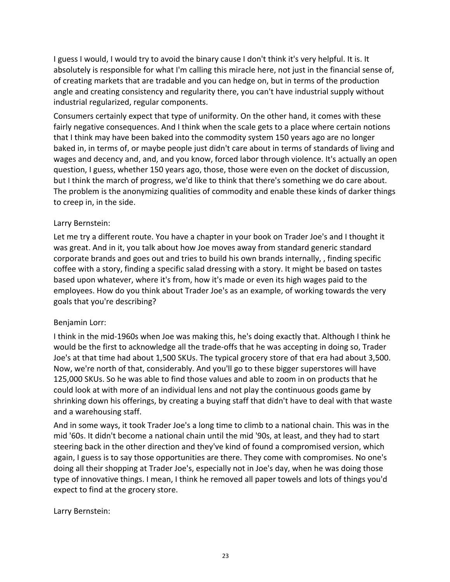I guess I would, I would try to avoid the binary cause I don't think it's very helpful. It is. It absolutely is responsible for what I'm calling this miracle here, not just in the financial sense of, of creating markets that are tradable and you can hedge on, but in terms of the production angle and creating consistency and regularity there, you can't have industrial supply without industrial regularized, regular components.

Consumers certainly expect that type of uniformity. On the other hand, it comes with these fairly negative consequences. And I think when the scale gets to a place where certain notions that I think may have been baked into the commodity system 150 years ago are no longer baked in, in terms of, or maybe people just didn't care about in terms of standards of living and wages and decency and, and, and you know, forced labor through violence. It's actually an open question, I guess, whether 150 years ago, those, those were even on the docket of discussion, but I think the march of progress, we'd like to think that there's something we do care about. The problem is the anonymizing qualities of commodity and enable these kinds of darker things to creep in, in the side.

### Larry Bernstein:

Let me try a different route. You have a chapter in your book on Trader Joe's and I thought it was great. And in it, you talk about how Joe moves away from standard generic standard corporate brands and goes out and tries to build his own brands internally, , finding specific coffee with a story, finding a specific salad dressing with a story. It might be based on tastes based upon whatever, where it's from, how it's made or even its high wages paid to the employees. How do you think about Trader Joe's as an example, of working towards the very goals that you're describing?

# Benjamin Lorr:

I think in the mid-1960s when Joe was making this, he's doing exactly that. Although I think he would be the first to acknowledge all the trade-offs that he was accepting in doing so, Trader Joe's at that time had about 1,500 SKUs. The typical grocery store of that era had about 3,500. Now, we're north of that, considerably. And you'll go to these bigger superstores will have 125,000 SKUs. So he was able to find those values and able to zoom in on products that he could look at with more of an individual lens and not play the continuous goods game by shrinking down his offerings, by creating a buying staff that didn't have to deal with that waste and a warehousing staff.

And in some ways, it took Trader Joe's a long time to climb to a national chain. This was in the mid '60s. It didn't become a national chain until the mid '90s, at least, and they had to start steering back in the other direction and they've kind of found a compromised version, which again, I guess is to say those opportunities are there. They come with compromises. No one's doing all their shopping at Trader Joe's, especially not in Joe's day, when he was doing those type of innovative things. I mean, I think he removed all paper towels and lots of things you'd expect to find at the grocery store.

Larry Bernstein: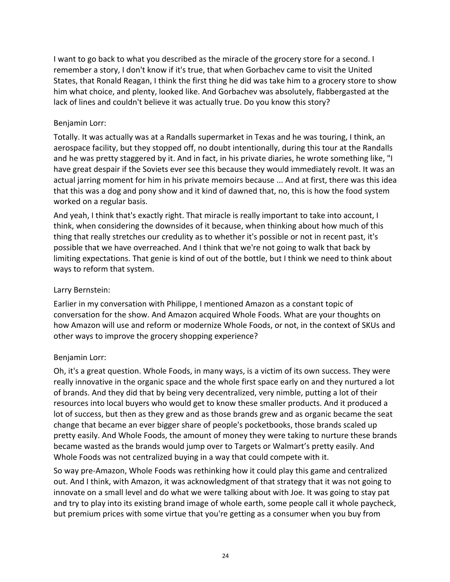I want to go back to what you described as the miracle of the grocery store for a second. I remember a story, I don't know if it's true, that when Gorbachev came to visit the United States, that Ronald Reagan, I think the first thing he did was take him to a grocery store to show him what choice, and plenty, looked like. And Gorbachev was absolutely, flabbergasted at the lack of lines and couldn't believe it was actually true. Do you know this story?

### Benjamin Lorr:

Totally. It was actually was at a Randalls supermarket in Texas and he was touring, I think, an aerospace facility, but they stopped off, no doubt intentionally, during this tour at the Randalls and he was pretty staggered by it. And in fact, in his private diaries, he wrote something like, "I have great despair if the Soviets ever see this because they would immediately revolt. It was an actual jarring moment for him in his private memoirs because ... And at first, there was this idea that this was a dog and pony show and it kind of dawned that, no, this is how the food system worked on a regular basis.

And yeah, I think that's exactly right. That miracle is really important to take into account, I think, when considering the downsides of it because, when thinking about how much of this thing that really stretches our credulity as to whether it's possible or not in recent past, it's possible that we have overreached. And I think that we're not going to walk that back by limiting expectations. That genie is kind of out of the bottle, but I think we need to think about ways to reform that system.

### Larry Bernstein:

Earlier in my conversation with Philippe, I mentioned Amazon as a constant topic of conversation for the show. And Amazon acquired Whole Foods. What are your thoughts on how Amazon will use and reform or modernize Whole Foods, or not, in the context of SKUs and other ways to improve the grocery shopping experience?

# Benjamin Lorr:

Oh, it's a great question. Whole Foods, in many ways, is a victim of its own success. They were really innovative in the organic space and the whole first space early on and they nurtured a lot of brands. And they did that by being very decentralized, very nimble, putting a lot of their resources into local buyers who would get to know these smaller products. And it produced a lot of success, but then as they grew and as those brands grew and as organic became the seat change that became an ever bigger share of people's pocketbooks, those brands scaled up pretty easily. And Whole Foods, the amount of money they were taking to nurture these brands became wasted as the brands would jump over to Targets or Walmart's pretty easily. And Whole Foods was not centralized buying in a way that could compete with it.

So way pre-Amazon, Whole Foods was rethinking how it could play this game and centralized out. And I think, with Amazon, it was acknowledgment of that strategy that it was not going to innovate on a small level and do what we were talking about with Joe. It was going to stay pat and try to play into its existing brand image of whole earth, some people call it whole paycheck, but premium prices with some virtue that you're getting as a consumer when you buy from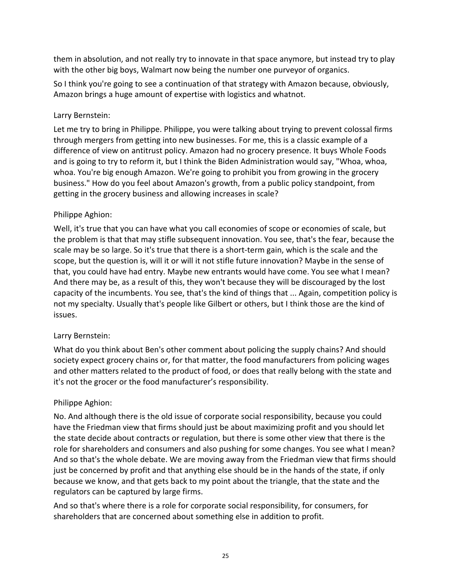them in absolution, and not really try to innovate in that space anymore, but instead try to play with the other big boys, Walmart now being the number one purveyor of organics.

So I think you're going to see a continuation of that strategy with Amazon because, obviously, Amazon brings a huge amount of expertise with logistics and whatnot.

#### Larry Bernstein:

Let me try to bring in Philippe. Philippe, you were talking about trying to prevent colossal firms through mergers from getting into new businesses. For me, this is a classic example of a difference of view on antitrust policy. Amazon had no grocery presence. It buys Whole Foods and is going to try to reform it, but I think the Biden Administration would say, "Whoa, whoa, whoa. You're big enough Amazon. We're going to prohibit you from growing in the grocery business." How do you feel about Amazon's growth, from a public policy standpoint, from getting in the grocery business and allowing increases in scale?

#### Philippe Aghion:

Well, it's true that you can have what you call economies of scope or economies of scale, but the problem is that that may stifle subsequent innovation. You see, that's the fear, because the scale may be so large. So it's true that there is a short-term gain, which is the scale and the scope, but the question is, will it or will it not stifle future innovation? Maybe in the sense of that, you could have had entry. Maybe new entrants would have come. You see what I mean? And there may be, as a result of this, they won't because they will be discouraged by the lost capacity of the incumbents. You see, that's the kind of things that ... Again, competition policy is not my specialty. Usually that's people like Gilbert or others, but I think those are the kind of issues.

#### Larry Bernstein:

What do you think about Ben's other comment about policing the supply chains? And should society expect grocery chains or, for that matter, the food manufacturers from policing wages and other matters related to the product of food, or does that really belong with the state and it's not the grocer or the food manufacturer's responsibility.

#### Philippe Aghion:

No. And although there is the old issue of corporate social responsibility, because you could have the Friedman view that firms should just be about maximizing profit and you should let the state decide about contracts or regulation, but there is some other view that there is the role for shareholders and consumers and also pushing for some changes. You see what I mean? And so that's the whole debate. We are moving away from the Friedman view that firms should just be concerned by profit and that anything else should be in the hands of the state, if only because we know, and that gets back to my point about the triangle, that the state and the regulators can be captured by large firms.

And so that's where there is a role for corporate social responsibility, for consumers, for shareholders that are concerned about something else in addition to profit.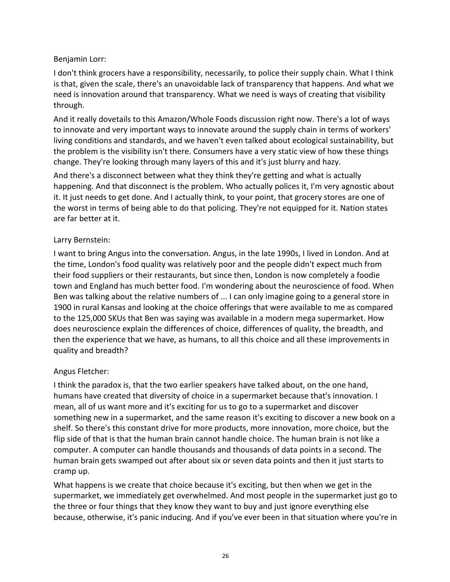# Benjamin Lorr:

I don't think grocers have a responsibility, necessarily, to police their supply chain. What I think is that, given the scale, there's an unavoidable lack of transparency that happens. And what we need is innovation around that transparency. What we need is ways of creating that visibility through.

And it really dovetails to this Amazon/Whole Foods discussion right now. There's a lot of ways to innovate and very important ways to innovate around the supply chain in terms of workers' living conditions and standards, and we haven't even talked about ecological sustainability, but the problem is the visibility isn't there. Consumers have a very static view of how these things change. They're looking through many layers of this and it's just blurry and hazy.

And there's a disconnect between what they think they're getting and what is actually happening. And that disconnect is the problem. Who actually polices it, I'm very agnostic about it. It just needs to get done. And I actually think, to your point, that grocery stores are one of the worst in terms of being able to do that policing. They're not equipped for it. Nation states are far better at it.

# Larry Bernstein:

I want to bring Angus into the conversation. Angus, in the late 1990s, I lived in London. And at the time, London's food quality was relatively poor and the people didn't expect much from their food suppliers or their restaurants, but since then, London is now completely a foodie town and England has much better food. I'm wondering about the neuroscience of food. When Ben was talking about the relative numbers of ... I can only imagine going to a general store in 1900 in rural Kansas and looking at the choice offerings that were available to me as compared to the 125,000 SKUs that Ben was saying was available in a modern mega supermarket. How does neuroscience explain the differences of choice, differences of quality, the breadth, and then the experience that we have, as humans, to all this choice and all these improvements in quality and breadth?

# Angus Fletcher:

I think the paradox is, that the two earlier speakers have talked about, on the one hand, humans have created that diversity of choice in a supermarket because that's innovation. I mean, all of us want more and it's exciting for us to go to a supermarket and discover something new in a supermarket, and the same reason it's exciting to discover a new book on a shelf. So there's this constant drive for more products, more innovation, more choice, but the flip side of that is that the human brain cannot handle choice. The human brain is not like a computer. A computer can handle thousands and thousands of data points in a second. The human brain gets swamped out after about six or seven data points and then it just starts to cramp up.

What happens is we create that choice because it's exciting, but then when we get in the supermarket, we immediately get overwhelmed. And most people in the supermarket just go to the three or four things that they know they want to buy and just ignore everything else because, otherwise, it's panic inducing. And if you've ever been in that situation where you're in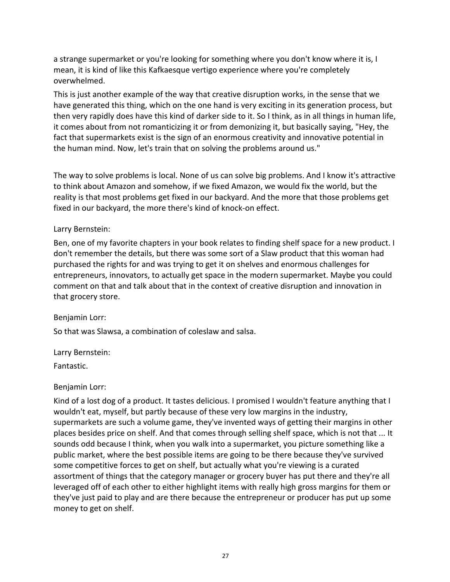a strange supermarket or you're looking for something where you don't know where it is, I mean, it is kind of like this Kafkaesque vertigo experience where you're completely overwhelmed.

This is just another example of the way that creative disruption works, in the sense that we have generated this thing, which on the one hand is very exciting in its generation process, but then very rapidly does have this kind of darker side to it. So I think, as in all things in human life, it comes about from not romanticizing it or from demonizing it, but basically saying, "Hey, the fact that supermarkets exist is the sign of an enormous creativity and innovative potential in the human mind. Now, let's train that on solving the problems around us."

The way to solve problems is local. None of us can solve big problems. And I know it's attractive to think about Amazon and somehow, if we fixed Amazon, we would fix the world, but the reality is that most problems get fixed in our backyard. And the more that those problems get fixed in our backyard, the more there's kind of knock-on effect.

### Larry Bernstein:

Ben, one of my favorite chapters in your book relates to finding shelf space for a new product. I don't remember the details, but there was some sort of a Slaw product that this woman had purchased the rights for and was trying to get it on shelves and enormous challenges for entrepreneurs, innovators, to actually get space in the modern supermarket. Maybe you could comment on that and talk about that in the context of creative disruption and innovation in that grocery store.

# Benjamin Lorr:

So that was Slawsa, a combination of coleslaw and salsa.

#### Larry Bernstein:

Fantastic.

#### Benjamin Lorr:

Kind of a lost dog of a product. It tastes delicious. I promised I wouldn't feature anything that I wouldn't eat, myself, but partly because of these very low margins in the industry, supermarkets are such a volume game, they've invented ways of getting their margins in other places besides price on shelf. And that comes through selling shelf space, which is not that ... It sounds odd because I think, when you walk into a supermarket, you picture something like a public market, where the best possible items are going to be there because they've survived some competitive forces to get on shelf, but actually what you're viewing is a curated assortment of things that the category manager or grocery buyer has put there and they're all leveraged off of each other to either highlight items with really high gross margins for them or they've just paid to play and are there because the entrepreneur or producer has put up some money to get on shelf.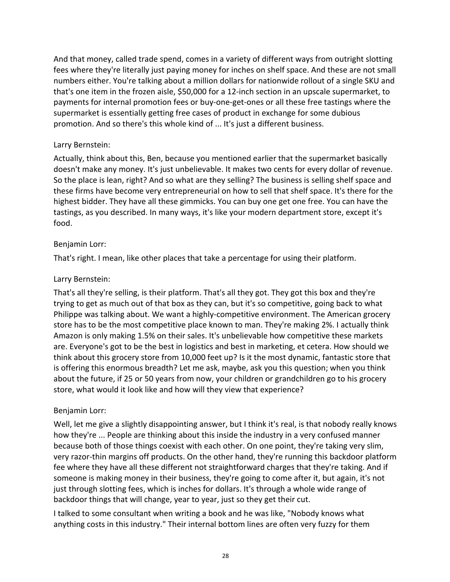And that money, called trade spend, comes in a variety of different ways from outright slotting fees where they're literally just paying money for inches on shelf space. And these are not small numbers either. You're talking about a million dollars for nationwide rollout of a single SKU and that's one item in the frozen aisle, \$50,000 for a 12-inch section in an upscale supermarket, to payments for internal promotion fees or buy-one-get-ones or all these free tastings where the supermarket is essentially getting free cases of product in exchange for some dubious promotion. And so there's this whole kind of ... It's just a different business.

### Larry Bernstein:

Actually, think about this, Ben, because you mentioned earlier that the supermarket basically doesn't make any money. It's just unbelievable. It makes two cents for every dollar of revenue. So the place is lean, right? And so what are they selling? The business is selling shelf space and these firms have become very entrepreneurial on how to sell that shelf space. It's there for the highest bidder. They have all these gimmicks. You can buy one get one free. You can have the tastings, as you described. In many ways, it's like your modern department store, except it's food.

### Benjamin Lorr:

That's right. I mean, like other places that take a percentage for using their platform.

### Larry Bernstein:

That's all they're selling, is their platform. That's all they got. They got this box and they're trying to get as much out of that box as they can, but it's so competitive, going back to what Philippe was talking about. We want a highly-competitive environment. The American grocery store has to be the most competitive place known to man. They're making 2%. I actually think Amazon is only making 1.5% on their sales. It's unbelievable how competitive these markets are. Everyone's got to be the best in logistics and best in marketing, et cetera. How should we think about this grocery store from 10,000 feet up? Is it the most dynamic, fantastic store that is offering this enormous breadth? Let me ask, maybe, ask you this question; when you think about the future, if 25 or 50 years from now, your children or grandchildren go to his grocery store, what would it look like and how will they view that experience?

# Benjamin Lorr:

Well, let me give a slightly disappointing answer, but I think it's real, is that nobody really knows how they're ... People are thinking about this inside the industry in a very confused manner because both of those things coexist with each other. On one point, they're taking very slim, very razor-thin margins off products. On the other hand, they're running this backdoor platform fee where they have all these different not straightforward charges that they're taking. And if someone is making money in their business, they're going to come after it, but again, it's not just through slotting fees, which is inches for dollars. It's through a whole wide range of backdoor things that will change, year to year, just so they get their cut.

I talked to some consultant when writing a book and he was like, "Nobody knows what anything costs in this industry." Their internal bottom lines are often very fuzzy for them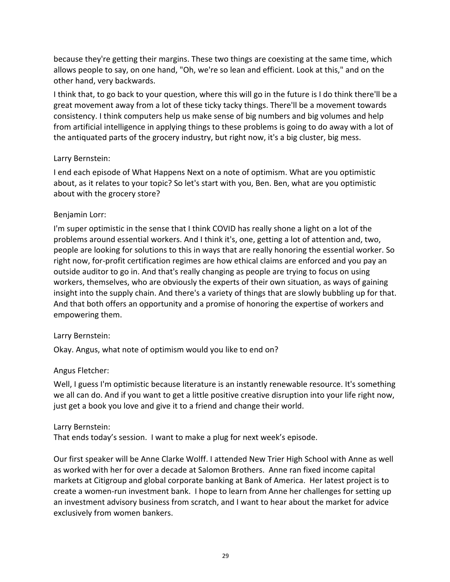because they're getting their margins. These two things are coexisting at the same time, which allows people to say, on one hand, "Oh, we're so lean and efficient. Look at this," and on the other hand, very backwards.

I think that, to go back to your question, where this will go in the future is I do think there'll be a great movement away from a lot of these ticky tacky things. There'll be a movement towards consistency. I think computers help us make sense of big numbers and big volumes and help from artificial intelligence in applying things to these problems is going to do away with a lot of the antiquated parts of the grocery industry, but right now, it's a big cluster, big mess.

### Larry Bernstein:

I end each episode of What Happens Next on a note of optimism. What are you optimistic about, as it relates to your topic? So let's start with you, Ben. Ben, what are you optimistic about with the grocery store?

### Benjamin Lorr:

I'm super optimistic in the sense that I think COVID has really shone a light on a lot of the problems around essential workers. And I think it's, one, getting a lot of attention and, two, people are looking for solutions to this in ways that are really honoring the essential worker. So right now, for-profit certification regimes are how ethical claims are enforced and you pay an outside auditor to go in. And that's really changing as people are trying to focus on using workers, themselves, who are obviously the experts of their own situation, as ways of gaining insight into the supply chain. And there's a variety of things that are slowly bubbling up for that. And that both offers an opportunity and a promise of honoring the expertise of workers and empowering them.

#### Larry Bernstein:

Okay. Angus, what note of optimism would you like to end on?

# Angus Fletcher:

Well, I guess I'm optimistic because literature is an instantly renewable resource. It's something we all can do. And if you want to get a little positive creative disruption into your life right now, just get a book you love and give it to a friend and change their world.

#### Larry Bernstein:

That ends today's session. I want to make a plug for next week's episode.

Our first speaker will be Anne Clarke Wolff. I attended New Trier High School with Anne as well as worked with her for over a decade at Salomon Brothers. Anne ran fixed income capital markets at Citigroup and global corporate banking at Bank of America. Her latest project is to create a women-run investment bank. I hope to learn from Anne her challenges for setting up an investment advisory business from scratch, and I want to hear about the market for advice exclusively from women bankers.